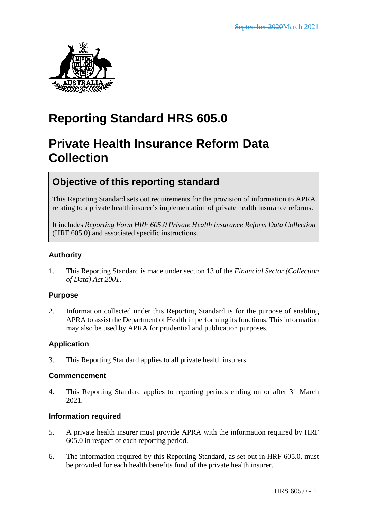

# **Reporting Standard HRS 605.0**

# **Private Health Insurance Reform Data Collection**

# **Objective of this reporting standard**

This Reporting Standard sets out requirements for the provision of information to APRA relating to a private health insurer's implementation of private health insurance reforms.

It includes *Reporting Form HRF 605.0 Private Health Insurance Reform Data Collection* (HRF 605.0) and associated specific instructions.

### **Authority**

1. This Reporting Standard is made under section 13 of the *Financial Sector (Collection of Data) Act 2001*.

#### **Purpose**

2. Information collected under this Reporting Standard is for the purpose of enabling APRA to assist the Department of Health in performing its functions. This information may also be used by APRA for prudential and publication purposes.

### **Application**

3. This Reporting Standard applies to all private health insurers.

#### **Commencement**

4. This Reporting Standard applies to reporting periods ending on or after 31 March 2021.

#### **Information required**

- 5. A private health insurer must provide APRA with the information required by HRF 605.0 in respect of each reporting period.
- 6. The information required by this Reporting Standard, as set out in HRF 605.0, must be provided for each health benefits fund of the private health insurer.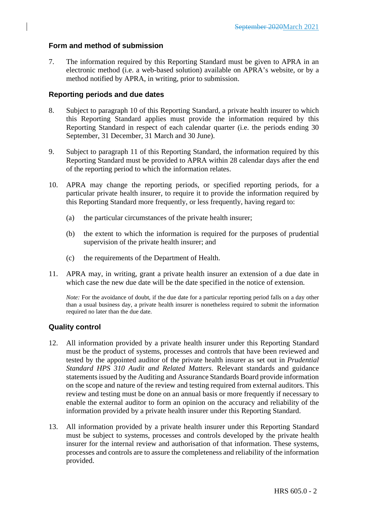#### **Form and method of submission**

7. The information required by this Reporting Standard must be given to APRA in an electronic method (i.e. a web-based solution) available on APRA's website, or by a method notified by APRA, in writing, prior to submission.

#### **Reporting periods and due dates**

- 8. Subject to paragraph 10 of this Reporting Standard, a private health insurer to which this Reporting Standard applies must provide the information required by this Reporting Standard in respect of each calendar quarter (i.e. the periods ending 30 September, 31 December, 31 March and 30 June).
- 9. Subject to paragraph 11 of this Reporting Standard, the information required by this Reporting Standard must be provided to APRA within 28 calendar days after the end of the reporting period to which the information relates.
- 10. APRA may change the reporting periods, or specified reporting periods, for a particular private health insurer, to require it to provide the information required by this Reporting Standard more frequently, or less frequently, having regard to:
	- (a) the particular circumstances of the private health insurer;
	- (b) the extent to which the information is required for the purposes of prudential supervision of the private health insurer; and
	- (c) the requirements of the Department of Health.
- 11. APRA may, in writing, grant a private health insurer an extension of a due date in which case the new due date will be the date specified in the notice of extension.

*Note:* For the avoidance of doubt, if the due date for a particular reporting period falls on a day other than a usual business day, a private health insurer is nonetheless required to submit the information required no later than the due date.

#### **Quality control**

- 12. All information provided by a private health insurer under this Reporting Standard must be the product of systems, processes and controls that have been reviewed and tested by the appointed auditor of the private health insurer as set out in *Prudential Standard HPS 310 Audit and Related Matters*. Relevant standards and guidance statements issued by the Auditing and Assurance Standards Board provide information on the scope and nature of the review and testing required from external auditors. This review and testing must be done on an annual basis or more frequently if necessary to enable the external auditor to form an opinion on the accuracy and reliability of the information provided by a private health insurer under this Reporting Standard.
- 13. All information provided by a private health insurer under this Reporting Standard must be subject to systems, processes and controls developed by the private health insurer for the internal review and authorisation of that information. These systems, processes and controls are to assure the completeness and reliability of the information provided.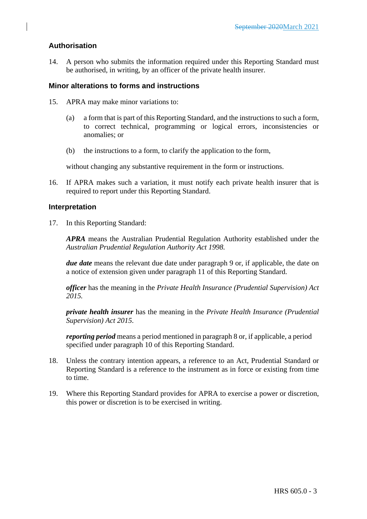#### **Authorisation**

14. A person who submits the information required under this Reporting Standard must be authorised, in writing, by an officer of the private health insurer.

#### **Minor alterations to forms and instructions**

- 15. APRA may make minor variations to:
	- (a) a form that is part of this Reporting Standard, and the instructions to such a form, to correct technical, programming or logical errors, inconsistencies or anomalies; or
	- (b) the instructions to a form, to clarify the application to the form,

without changing any substantive requirement in the form or instructions.

16. If APRA makes such a variation, it must notify each private health insurer that is required to report under this Reporting Standard.

#### **Interpretation**

17. In this Reporting Standard:

*APRA* means the Australian Prudential Regulation Authority established under the *Australian Prudential Regulation Authority Act 1998.*

*due date* means the relevant due date under paragraph 9 or, if applicable, the date on a notice of extension given under paragraph 11 of this Reporting Standard.

*officer* has the meaning in the *Private Health Insurance (Prudential Supervision) Act 2015.*

*private health insurer* has the meaning in the *Private Health Insurance (Prudential Supervision) Act 2015*.

*reporting period* means a period mentioned in paragraph 8 or, if applicable, a period specified under paragraph 10 of this Reporting Standard.

- 18. Unless the contrary intention appears, a reference to an Act, Prudential Standard or Reporting Standard is a reference to the instrument as in force or existing from time to time.
- 19. Where this Reporting Standard provides for APRA to exercise a power or discretion, this power or discretion is to be exercised in writing.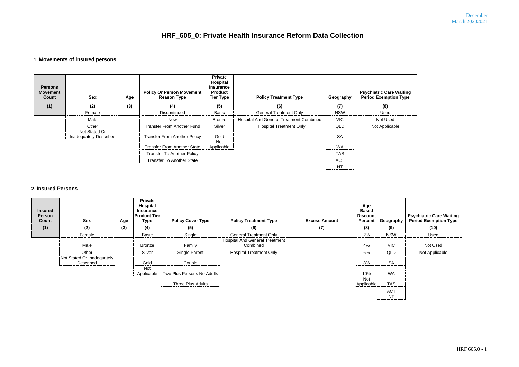# **HRF\_605\_0: Private Health Insurance Reform Data Collection**

#### **1. Movements of insured persons**

| <b>Persons</b><br><b>Movement</b><br>Count<br>(1) | Sex<br>(2)                              | Age<br>(3) | <b>Policy Or Person Movement</b><br><b>Reason Type</b><br>(4) | <b>Private</b><br>Hospital<br><b>Insurance</b><br><b>Product</b><br><b>Tier Type</b><br>(5) | <b>Policy Treatment Type</b><br>(6)     | Geography<br>(7) | <b>Psychiatric Care Waiting</b><br><b>Period Exemption Type</b><br>(8) |
|---------------------------------------------------|-----------------------------------------|------------|---------------------------------------------------------------|---------------------------------------------------------------------------------------------|-----------------------------------------|------------------|------------------------------------------------------------------------|
|                                                   | Female                                  |            | Discontinued                                                  | Basic                                                                                       | <b>General Treatment Only</b>           | <b>NSW</b>       | Used                                                                   |
|                                                   | Male                                    |            | New                                                           | <b>Bronze</b>                                                                               | Hospital And General Treatment Combined | <b>VIC</b>       | Not Used                                                               |
|                                                   | Other                                   |            | <b>Transfer From Another Fund</b>                             | Silver                                                                                      | <b>Hospital Treatment Only</b>          | <b>QLD</b>       | Not Applicable                                                         |
|                                                   | Not Stated Or<br>Inadequately Described |            | <b>Transfer From Another Policy</b>                           | Gold                                                                                        |                                         | <b>SA</b><br>.   |                                                                        |
|                                                   |                                         |            | <b>Transfer From Another State</b>                            | <b>Not</b><br>Applicable                                                                    |                                         | WA               |                                                                        |
|                                                   |                                         |            | <b>Transfer To Another Policy</b>                             |                                                                                             |                                         | <b>TAS</b>       |                                                                        |
|                                                   |                                         |            | <b>Transfer To Another State</b>                              |                                                                                             |                                         | <b>ACT</b><br>.  |                                                                        |
|                                                   |                                         |            |                                                               |                                                                                             |                                         | <b>NT</b>        |                                                                        |

#### **2. Insured Persons**

| <b>Insured</b><br><b>Person</b><br>Count<br>(1) | <b>Sex</b><br>(2)                       | Age<br>(3) | <b>Private</b><br>Hospital<br><b>Insurance</b><br><b>Product Tier</b><br>Type<br>(4) | <b>Policy Cover Type</b><br>(5) | <b>Policy Treatment Type</b><br>(6)               | <b>Excess Amount</b><br>(7) | Age<br><b>Based</b><br><b>Discount</b><br><b>Percent</b><br>(8) | Geography<br>(9) | <b>Psychiatric Care W</b><br><b>Period Exemption</b><br>(10) |
|-------------------------------------------------|-----------------------------------------|------------|--------------------------------------------------------------------------------------|---------------------------------|---------------------------------------------------|-----------------------------|-----------------------------------------------------------------|------------------|--------------------------------------------------------------|
|                                                 | Female                                  |            | Basic                                                                                | Single                          | <b>General Treatment Only</b>                     |                             | 2%                                                              | <b>NSW</b>       | Used                                                         |
|                                                 | Male                                    |            | Bronze                                                                               | Family                          | <b>Hospital And General Treatment</b><br>Combined |                             | 4%                                                              | <b>VIC</b>       | Not Used                                                     |
|                                                 | Other                                   |            | Silver                                                                               | Single Parent                   | <b>Hospital Treatment Only</b>                    |                             | 6%                                                              | QLD              | Not Applicable                                               |
|                                                 | Not Stated Or Inadequately<br>Described |            | Gold                                                                                 | Couple                          |                                                   |                             | 8%                                                              | <b>SA</b>        |                                                              |
|                                                 |                                         |            | Not.<br>Applicable                                                                   | Two Plus Persons No Adults      |                                                   |                             | 10%                                                             | <b>WA</b>        |                                                              |
|                                                 |                                         |            |                                                                                      | Three Plus Adults               |                                                   |                             | <b>Not</b><br>Applicable                                        | <b>TAS</b>       |                                                              |
|                                                 |                                         |            |                                                                                      |                                 |                                                   |                             |                                                                 | <b>ACT</b>       |                                                              |

#### **December** March 20202021

| e Waiting<br>ion Type |
|-----------------------|
|                       |
| ٠d                    |

raphy **Psychiatric Care Waiting Period Exemption Type** C<sub>Not Used</sub>  $\overline{S}$  $T<sub>c</sub>$  $NT$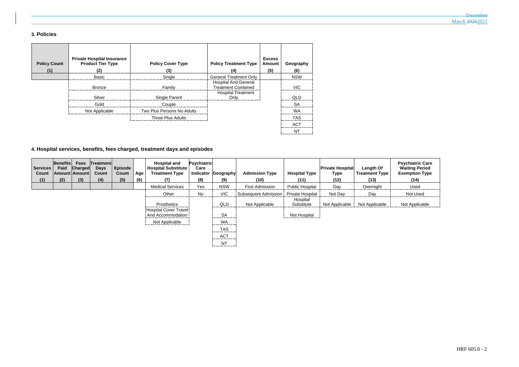## **3. Policies**

| <b>Policy Count</b><br>(1) | <b>Private Hospital Insurance</b><br><b>Product Tier Type</b><br>(2) | <b>Policy Cover Type</b><br>(3) | <b>Policy Treatment Type</b><br>(4)                                                   | <b>Excess</b><br>Amount<br>(5) | Geography<br>(6) |
|----------------------------|----------------------------------------------------------------------|---------------------------------|---------------------------------------------------------------------------------------|--------------------------------|------------------|
|                            | Basic                                                                | Single                          | <b>General Treatment Only</b>                                                         |                                | <b>NSW</b>       |
|                            | <b>Bronze</b>                                                        | Family                          | <b>Hospital And General</b><br><b>Treatment Combined</b><br><b>Hospital Treatment</b> |                                | <b>VIC</b>       |
|                            | Silver                                                               | Single Parent                   | Only                                                                                  |                                | <b>QLD</b>       |
|                            | Gold                                                                 | Couple                          |                                                                                       |                                | <b>SA</b>        |
|                            | Not Applicable                                                       | Two Plus Persons No Adults      |                                                                                       |                                | <b>WA</b>        |
|                            |                                                                      | <b>Three Plus Adults</b>        |                                                                                       |                                | <b>TAS</b>       |
|                            |                                                                      |                                 |                                                                                       |                                | <b>ACT</b>       |
|                            |                                                                      |                                 |                                                                                       |                                | <b>NT</b>        |

# **4. Hospital services, benefits, fees charged, treatment days and episodes**

| <b>Services</b><br>Count | Benefits<br>Paid | <b>Fees</b><br><b>Charged</b><br>Amount Amount | Treatment<br><b>Days</b><br><b>Count</b> | Episode<br>Count | Age | <b>Hospital and</b><br><b>Hospital Substitute</b><br><b>Treatment Type</b> | <b>Psychiatric</b><br>Care<br>Indicator | Geography      | <b>Admission Type</b>       | <b>Hospital Type</b>   | <b>Private Hospital</b><br><b>Type</b> | Length Of<br><b>Treatment Type</b> | <b>Psychiatric Care</b><br><b>Waiting Period</b><br><b>Exemption Type</b> |
|--------------------------|------------------|------------------------------------------------|------------------------------------------|------------------|-----|----------------------------------------------------------------------------|-----------------------------------------|----------------|-----------------------------|------------------------|----------------------------------------|------------------------------------|---------------------------------------------------------------------------|
| (1)                      | (2)              | (3)                                            | (4)                                      | (5)              | (6) | (7)                                                                        | (8)                                     | (9)            | (10)                        | (11)                   | (12)                                   | (13)                               | (14)                                                                      |
|                          |                  |                                                |                                          |                  |     | <b>Medical Services</b>                                                    | Yes                                     | <b>NSW</b>     | <b>First Admission</b>      | <b>Public Hospital</b> | Day                                    | Overnight                          | Used                                                                      |
|                          |                  |                                                |                                          |                  |     | Other                                                                      | No                                      | <b>VIC</b>     | <b>Subsequent Admission</b> | Private Hospital       | Not Day                                | Day                                | Not Used                                                                  |
|                          |                  |                                                |                                          |                  |     | Prosthetics                                                                |                                         | QLD            | Not Applicable              | Hospital<br>Substitute | Not Applicable                         | Not Applicable                     | Not Applicable                                                            |
|                          |                  |                                                |                                          |                  |     | Hospital Cover Travel<br>And Accommodation                                 |                                         | <b>SA</b>      |                             | Not Hospital           |                                        |                                    |                                                                           |
|                          |                  |                                                |                                          |                  |     | Not Applicable                                                             |                                         | <b>WA</b>      |                             |                        |                                        |                                    |                                                                           |
|                          |                  |                                                |                                          |                  |     |                                                                            |                                         | <b>TAS</b>     |                             |                        |                                        |                                    |                                                                           |
|                          |                  |                                                |                                          |                  |     |                                                                            |                                         | <b>ACT</b><br> |                             |                        |                                        |                                    |                                                                           |
|                          |                  |                                                |                                          |                  |     |                                                                            |                                         | <b>NT</b>      |                             |                        |                                        |                                    |                                                                           |

| <b>December</b> |
|-----------------|
|                 |
| March 20202021  |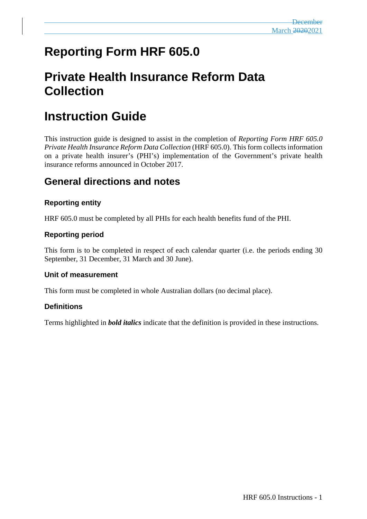# **Reporting Form HRF 605.0**

# **Private Health Insurance Reform Data Collection**

# **Instruction Guide**

This instruction guide is designed to assist in the completion of *Reporting Form HRF 605.0 Private Health Insurance Reform Data Collection* (HRF 605.0). This form collects information on a private health insurer's (PHI's) implementation of the Government's private health insurance reforms announced in October 2017.

# **General directions and notes**

## **Reporting entity**

HRF 605.0 must be completed by all PHIs for each health benefits fund of the PHI.

## **Reporting period**

This form is to be completed in respect of each calendar quarter (i.e. the periods ending 30 September, 31 December, 31 March and 30 June).

### **Unit of measurement**

This form must be completed in whole Australian dollars (no decimal place).

### **Definitions**

Terms highlighted in *bold italics* indicate that the definition is provided in these instructions.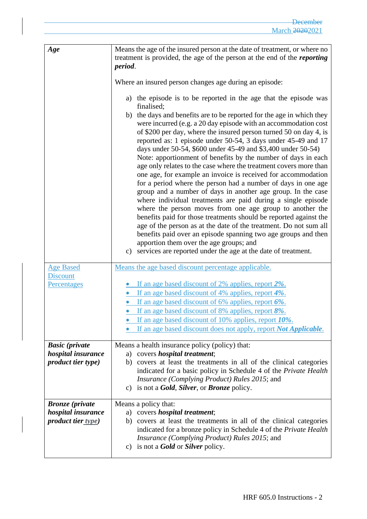| Age                                                                               | Means the age of the insured person at the date of treatment, or where no<br>treatment is provided, the age of the person at the end of the <i>reporting</i><br>period.                                                                                                                                                                                                                                                                                                                                                                                                                                                                                                                                                                                                                                                                                                                                                                                                                                                                                                                                                                                                                                                                                                                   |
|-----------------------------------------------------------------------------------|-------------------------------------------------------------------------------------------------------------------------------------------------------------------------------------------------------------------------------------------------------------------------------------------------------------------------------------------------------------------------------------------------------------------------------------------------------------------------------------------------------------------------------------------------------------------------------------------------------------------------------------------------------------------------------------------------------------------------------------------------------------------------------------------------------------------------------------------------------------------------------------------------------------------------------------------------------------------------------------------------------------------------------------------------------------------------------------------------------------------------------------------------------------------------------------------------------------------------------------------------------------------------------------------|
|                                                                                   | Where an insured person changes age during an episode:<br>a) the episode is to be reported in the age that the episode was<br>finalised;<br>b) the days and benefits are to be reported for the age in which they<br>were incurred (e.g. a 20 day episode with an accommodation cost<br>of \$200 per day, where the insured person turned 50 on day 4, is<br>reported as: 1 episode under 50-54, 3 days under 45-49 and 17<br>days under 50-54, \$600 under 45-49 and \$3,400 under 50-54)<br>Note: apportionment of benefits by the number of days in each<br>age only relates to the case where the treatment covers more than<br>one age, for example an invoice is received for accommodation<br>for a period where the person had a number of days in one age<br>group and a number of days in another age group. In the case<br>where individual treatments are paid during a single episode<br>where the person moves from one age group to another the<br>benefits paid for those treatments should be reported against the<br>age of the person as at the date of the treatment. Do not sum all<br>benefits paid over an episode spanning two age groups and then<br>apportion them over the age groups; and<br>c) services are reported under the age at the date of treatment. |
| <b>Age Based</b><br><b>Discount</b><br>Percentages                                | Means the age based discount percentage applicable.<br>If an age based discount of 2% applies, report 2%.<br>If an age based discount of 4% applies, report 4%.<br>If an age based discount of 6% applies, report $6\%$ .<br>If an age based discount of 8% applies, report 8%.<br>• If an age based discount of 10% applies, report 10%.<br>If an age based discount does not apply, report <i>Not Applicable</i> .                                                                                                                                                                                                                                                                                                                                                                                                                                                                                                                                                                                                                                                                                                                                                                                                                                                                      |
| <b>Basic</b> (private<br>hospital insurance<br><i>product tier type)</i>          | Means a health insurance policy (policy) that:<br>a) covers <i>hospital treatment</i> ;<br>b) covers at least the treatments in all of the clinical categories<br>indicated for a basic policy in Schedule 4 of the Private Health<br>Insurance (Complying Product) Rules 2015; and<br>c) is not a <b>Gold</b> , <b>Silver</b> , or <b>Bronze</b> policy.                                                                                                                                                                                                                                                                                                                                                                                                                                                                                                                                                                                                                                                                                                                                                                                                                                                                                                                                 |
| <b>Bronze</b> ( <i>private</i><br>hospital insurance<br><i>product tier type)</i> | Means a policy that:<br>a) covers <i>hospital treatment</i> ;<br>covers at least the treatments in all of the clinical categories<br>b)<br>indicated for a bronze policy in Schedule 4 of the Private Health<br><i>Insurance (Complying Product) Rules 2015; and</i><br>c) is not a <b>Gold</b> or <b>Silver</b> policy.                                                                                                                                                                                                                                                                                                                                                                                                                                                                                                                                                                                                                                                                                                                                                                                                                                                                                                                                                                  |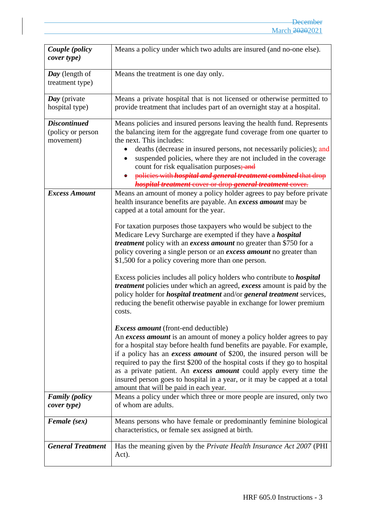| Couple (policy<br>cover type)                         | Means a policy under which two adults are insured (and no-one else).                                                                                                                                                                                                                                                                                                                                                                                                                                                                                         |
|-------------------------------------------------------|--------------------------------------------------------------------------------------------------------------------------------------------------------------------------------------------------------------------------------------------------------------------------------------------------------------------------------------------------------------------------------------------------------------------------------------------------------------------------------------------------------------------------------------------------------------|
| Day (length of<br>treatment type)                     | Means the treatment is one day only.                                                                                                                                                                                                                                                                                                                                                                                                                                                                                                                         |
| Day (private<br>hospital type)                        | Means a private hospital that is not licensed or otherwise permitted to<br>provide treatment that includes part of an overnight stay at a hospital.                                                                                                                                                                                                                                                                                                                                                                                                          |
| <b>Discontinued</b><br>(policy or person<br>movement) | Means policies and insured persons leaving the health fund. Represents<br>the balancing item for the aggregate fund coverage from one quarter to<br>the next. This includes:<br>deaths (decrease in insured persons, not necessarily policies); and<br>suspended policies, where they are not included in the coverage<br>count for risk equalisation purposes; and<br>policies with <i>hospital and general treatment combined</i> that drop<br>hospital treatment cover or drop general treatment cover.                                                   |
| <b>Excess Amount</b>                                  | Means an amount of money a policy holder agrees to pay before private<br>health insurance benefits are payable. An excess amount may be<br>capped at a total amount for the year.                                                                                                                                                                                                                                                                                                                                                                            |
|                                                       | For taxation purposes those taxpayers who would be subject to the<br>Medicare Levy Surcharge are exempted if they have a <i>hospital</i><br><i>treatment</i> policy with an <i>excess amount</i> no greater than \$750 for a<br>policy covering a single person or an excess amount no greater than<br>\$1,500 for a policy covering more than one person.                                                                                                                                                                                                   |
|                                                       | Excess policies includes all policy holders who contribute to <i>hospital</i><br><i>treatment</i> policies under which an agreed, <i>excess</i> amount is paid by the<br>policy holder for <i>hospital treatment</i> and/or <i>general treatment</i> services,<br>reducing the benefit otherwise payable in exchange for lower premium<br>costs.                                                                                                                                                                                                             |
|                                                       | <i>Excess amount</i> (front-end deductible)<br>An excess amount is an amount of money a policy holder agrees to pay<br>for a hospital stay before health fund benefits are payable. For example,<br>if a policy has an <i>excess amount</i> of \$200, the insured person will be<br>required to pay the first \$200 of the hospital costs if they go to hospital<br>as a private patient. An excess amount could apply every time the<br>insured person goes to hospital in a year, or it may be capped at a total<br>amount that will be paid in each year. |
| <b>Family</b> (policy<br>cover type)                  | Means a policy under which three or more people are insured, only two<br>of whom are adults.                                                                                                                                                                                                                                                                                                                                                                                                                                                                 |
| Female (sex)                                          | Means persons who have female or predominantly feminine biological<br>characteristics, or female sex assigned at birth.                                                                                                                                                                                                                                                                                                                                                                                                                                      |
| <b>General Treatment</b>                              | Has the meaning given by the <i>Private Health Insurance Act 2007</i> (PHI<br>Act).                                                                                                                                                                                                                                                                                                                                                                                                                                                                          |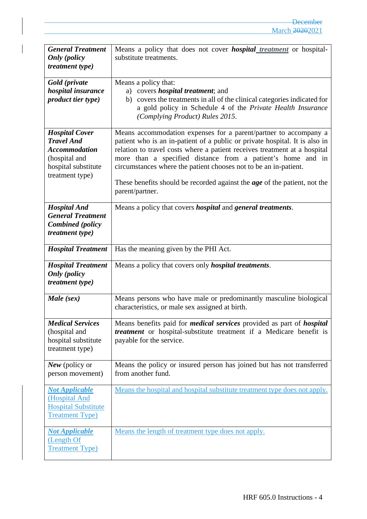| <b>General Treatment</b><br><b>Only</b> (policy<br><i>treatment type)</i>                                                     | Means a policy that does not cover <i>hospital treatment</i> or hospital-<br>substitute treatments.                                                                                                                                                                                                                                                                                                                                                                    |
|-------------------------------------------------------------------------------------------------------------------------------|------------------------------------------------------------------------------------------------------------------------------------------------------------------------------------------------------------------------------------------------------------------------------------------------------------------------------------------------------------------------------------------------------------------------------------------------------------------------|
| Gold (private<br>hospital insurance<br>product tier type)                                                                     | Means a policy that:<br>a) covers <i>hospital treatment</i> ; and<br>b) covers the treatments in all of the clinical categories indicated for<br>a gold policy in Schedule 4 of the Private Health Insurance<br>(Complying Product) Rules 2015.                                                                                                                                                                                                                        |
| <b>Hospital Cover</b><br><b>Travel And</b><br><b>Accommodation</b><br>(hospital and<br>hospital substitute<br>treatment type) | Means accommodation expenses for a parent/partner to accompany a<br>patient who is an in-patient of a public or private hospital. It is also in<br>relation to travel costs where a patient receives treatment at a hospital<br>more than a specified distance from a patient's home and in<br>circumstances where the patient chooses not to be an in-patient.<br>These benefits should be recorded against the <i>age</i> of the patient, not the<br>parent/partner. |
| <b>Hospital And</b><br><b>General Treatment</b><br><b>Combined</b> (policy<br><i>treatment type)</i>                          | Means a policy that covers <i>hospital</i> and <i>general treatments</i> .                                                                                                                                                                                                                                                                                                                                                                                             |
| <b>Hospital Treatment</b>                                                                                                     | Has the meaning given by the PHI Act.                                                                                                                                                                                                                                                                                                                                                                                                                                  |
| <b>Hospital Treatment</b><br><b>Only</b> (policy<br><i>treatment type)</i>                                                    | Means a policy that covers only <i>hospital treatments</i> .                                                                                                                                                                                                                                                                                                                                                                                                           |
| Male (sex)                                                                                                                    | Means persons who have male or predominantly masculine biological<br>characteristics, or male sex assigned at birth.                                                                                                                                                                                                                                                                                                                                                   |
| <b>Medical Services</b><br>(hospital and<br>hospital substitute<br>treatment type)                                            | Means benefits paid for <i>medical services</i> provided as part of <i>hospital</i><br><i>treatment</i> or hospital-substitute treatment if a Medicare benefit is<br>payable for the service.                                                                                                                                                                                                                                                                          |
| New (policy or<br>person movement)                                                                                            | Means the policy or insured person has joined but has not transferred<br>from another fund.                                                                                                                                                                                                                                                                                                                                                                            |
| <b>Not Applicable</b><br>(Hospital And<br><b>Hospital Substitute</b><br><b>Treatment Type)</b>                                | Means the hospital and hospital substitute treatment type does not apply.                                                                                                                                                                                                                                                                                                                                                                                              |
| <b>Not Applicable</b><br>(Length Of<br><b>Treatment Type)</b>                                                                 | Means the length of treatment type does not apply.                                                                                                                                                                                                                                                                                                                                                                                                                     |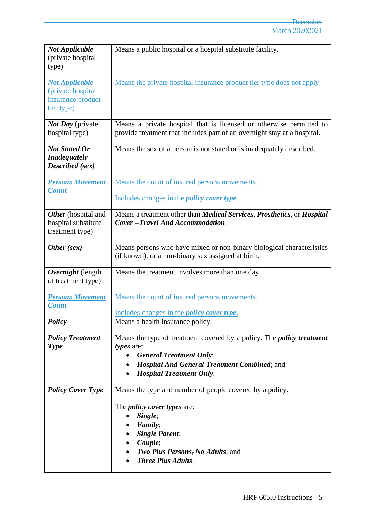| <b>Not Applicable</b><br>(private hospital)<br>type)                                  | Means a public hospital or a hospital substitute facility.                                                                                                                                                                        |
|---------------------------------------------------------------------------------------|-----------------------------------------------------------------------------------------------------------------------------------------------------------------------------------------------------------------------------------|
| <b>Not Applicable</b><br>(private hospital)<br>insurance product<br><u>tier type)</u> | Means the private hospital insurance product tier type does not apply.                                                                                                                                                            |
| <i>Not Day</i> (private<br>hospital type)                                             | Means a private hospital that is licensed or otherwise permitted to<br>provide treatment that includes part of an overnight stay at a hospital.                                                                                   |
| <b>Not Stated Or</b><br><b>Inadequately</b><br>Described (sex)                        | Means the sex of a person is not stated or is inadequately described.                                                                                                                                                             |
| <b>Persons Movement</b><br>Count                                                      | Means the count of insured persons movements.                                                                                                                                                                                     |
|                                                                                       | Includes changes in the <i>policy cover type</i> .                                                                                                                                                                                |
| Other (hospital and<br>hospital substitute<br>treatment type)                         | Means a treatment other than <i>Medical Services</i> , <i>Prosthetics</i> , or <i>Hospital</i><br>Cover-Travel And Accommodation.                                                                                                 |
| Other (sex)                                                                           | Means persons who have mixed or non-binary biological characteristics<br>(if known), or a non-binary sex assigned at birth.                                                                                                       |
| Overnight (length<br>of treatment type)                                               | Means the treatment involves more than one day.                                                                                                                                                                                   |
| <b>Persons Movement</b><br><b>Count</b>                                               | Means the count of insured persons movements.                                                                                                                                                                                     |
| <b>Policy</b>                                                                         | Includes changes in the <i>policy cover type</i> .<br>Means a health insurance policy.                                                                                                                                            |
| <b>Policy Treatment</b><br><b>Type</b>                                                | Means the type of treatment covered by a policy. The <i>policy treatment</i><br>types are:<br><b>General Treatment Only;</b><br><b>Hospital And General Treatment Combined; and</b><br><b>Hospital Treatment Only.</b>            |
| <b>Policy Cover Type</b>                                                              | Means the type and number of people covered by a policy.<br>The <i>policy cover types</i> are:<br>Single;<br>Family;<br><b>Single Parent;</b><br>Couple;<br><b>Two Plus Persons</b> , No Adults; and<br><b>Three Plus Adults.</b> |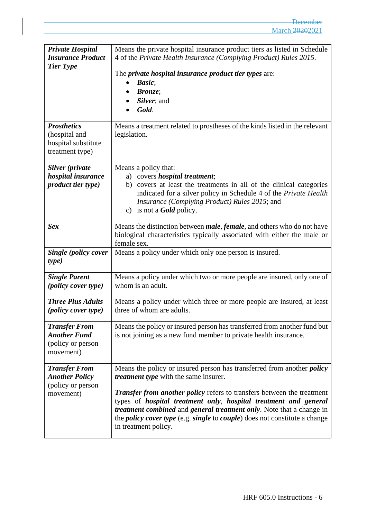| <b>Private Hospital</b><br><b>Insurance Product</b><br><b>Tier Type</b>         | Means the private hospital insurance product tiers as listed in Schedule<br>4 of the Private Health Insurance (Complying Product) Rules 2015.<br>The private hospital insurance product tier types are:<br>Basic;<br><b>Bronze</b> ;<br>Silver; and<br>Gold.                                                                                                                                                                                                                                                         |
|---------------------------------------------------------------------------------|----------------------------------------------------------------------------------------------------------------------------------------------------------------------------------------------------------------------------------------------------------------------------------------------------------------------------------------------------------------------------------------------------------------------------------------------------------------------------------------------------------------------|
| <b>Prosthetics</b><br>(hospital and<br>hospital substitute<br>treatment type)   | Means a treatment related to prostheses of the kinds listed in the relevant<br>legislation.                                                                                                                                                                                                                                                                                                                                                                                                                          |
| Silver (private<br>hospital insurance<br><i>product tier type)</i>              | Means a policy that:<br>a) covers <i>hospital treatment</i> ;<br>b) covers at least the treatments in all of the clinical categories<br>indicated for a silver policy in Schedule 4 of the Private Health<br>Insurance (Complying Product) Rules 2015; and<br>is not a <b>Gold</b> policy.<br>C)                                                                                                                                                                                                                     |
| <b>Sex</b>                                                                      | Means the distinction between <i>male</i> , <i>female</i> , and others who do not have<br>biological characteristics typically associated with either the male or<br>female sex.                                                                                                                                                                                                                                                                                                                                     |
| Single (policy cover<br>type)                                                   | Means a policy under which only one person is insured.                                                                                                                                                                                                                                                                                                                                                                                                                                                               |
| <b>Single Parent</b><br>( <i>policy cover type</i> )                            | Means a policy under which two or more people are insured, only one of<br>whom is an adult.                                                                                                                                                                                                                                                                                                                                                                                                                          |
| <b>Three Plus Adults</b><br><i>(policy cover type)</i>                          | Means a policy under which three or more people are insured, at least<br>three of whom are adults.                                                                                                                                                                                                                                                                                                                                                                                                                   |
| <b>Transfer From</b><br><b>Another Fund</b><br>(policy or person<br>movement)   | Means the policy or insured person has transferred from another fund but<br>is not joining as a new fund member to private health insurance.                                                                                                                                                                                                                                                                                                                                                                         |
| <b>Transfer From</b><br><b>Another Policy</b><br>(policy or person<br>movement) | Means the policy or insured person has transferred from another <i>policy</i><br><i>treatment type</i> with the same insurer.<br><b>Transfer from another policy refers to transfers between the treatment</b><br>types of <i>hospital treatment only</i> , <i>hospital treatment and general</i><br><i>treatment combined</i> and <i>general treatment only</i> . Note that a change in<br>the <i>policy cover type</i> (e.g. <i>single</i> to <i>couple</i> ) does not constitute a change<br>in treatment policy. |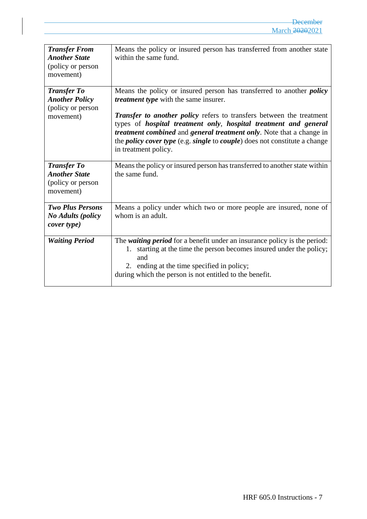| <b>Transfer From</b><br><b>Another State</b><br>(policy or person<br>movement) | Means the policy or insured person has transferred from another state<br>within the same fund.                                                                                                                                                                                                                                                                                                                                                                                                    |
|--------------------------------------------------------------------------------|---------------------------------------------------------------------------------------------------------------------------------------------------------------------------------------------------------------------------------------------------------------------------------------------------------------------------------------------------------------------------------------------------------------------------------------------------------------------------------------------------|
| <b>Transfer To</b><br><b>Another Policy</b><br>(policy or person<br>movement)  | Means the policy or insured person has transferred to another <i>policy</i><br><i>treatment type</i> with the same insurer.<br><b>Transfer to another policy refers to transfers between the treatment</b><br>types of hospital treatment only, hospital treatment and general<br><i>treatment combined</i> and <i>general treatment only</i> . Note that a change in<br>the <i>policy cover type</i> (e.g. <i>single</i> to <i>couple</i> ) does not constitute a change<br>in treatment policy. |
| <b>Transfer To</b><br><b>Another State</b><br>(policy or person<br>movement)   | Means the policy or insured person has transferred to another state within<br>the same fund.                                                                                                                                                                                                                                                                                                                                                                                                      |
| <b>Two Plus Persons</b><br><b>No Adults (policy</b><br>cover type)             | Means a policy under which two or more people are insured, none of<br>whom is an adult.                                                                                                                                                                                                                                                                                                                                                                                                           |
| <b>Waiting Period</b>                                                          | The waiting period for a benefit under an insurance policy is the period:<br>starting at the time the person becomes insured under the policy;<br>1.<br>and<br>2. ending at the time specified in policy;<br>during which the person is not entitled to the benefit.                                                                                                                                                                                                                              |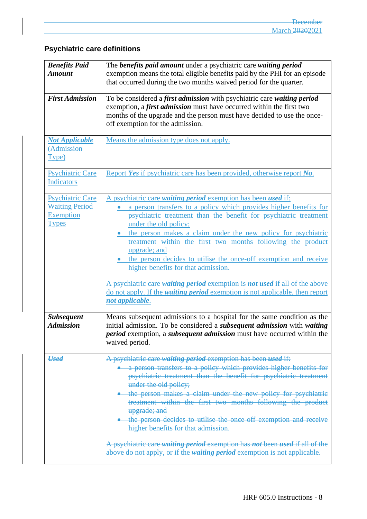# **Psychiatric care definitions**

| <b>Benefits Paid</b><br><b>Amount</b>                                                | The benefits paid amount under a psychiatric care waiting period<br>exemption means the total eligible benefits paid by the PHI for an episode                                                                                                                                                                                                                                                                                                                                                                                                                                                                                                                                                           |
|--------------------------------------------------------------------------------------|----------------------------------------------------------------------------------------------------------------------------------------------------------------------------------------------------------------------------------------------------------------------------------------------------------------------------------------------------------------------------------------------------------------------------------------------------------------------------------------------------------------------------------------------------------------------------------------------------------------------------------------------------------------------------------------------------------|
|                                                                                      | that occurred during the two months waived period for the quarter.                                                                                                                                                                                                                                                                                                                                                                                                                                                                                                                                                                                                                                       |
| <b>First Admission</b>                                                               | To be considered a first admission with psychiatric care waiting period<br>exemption, a <i>first admission</i> must have occurred within the first two<br>months of the upgrade and the person must have decided to use the once-<br>off exemption for the admission.                                                                                                                                                                                                                                                                                                                                                                                                                                    |
| <b>Not Applicable</b><br>(Admission<br>Type)                                         | Means the admission type does not apply.                                                                                                                                                                                                                                                                                                                                                                                                                                                                                                                                                                                                                                                                 |
| <b>Psychiatric Care</b><br><b>Indicators</b>                                         | Report Yes if psychiatric care has been provided, otherwise report No.                                                                                                                                                                                                                                                                                                                                                                                                                                                                                                                                                                                                                                   |
| <b>Psychiatric Care</b><br><b>Waiting Period</b><br><b>Exemption</b><br><b>Types</b> | A psychiatric care waiting period exemption has been used if:<br>a person transfers to a policy which provides higher benefits for<br>psychiatric treatment than the benefit for psychiatric treatment<br>under the old policy;<br>the person makes a claim under the new policy for psychiatric<br>treatment within the first two months following the product<br>upgrade; and<br>the person decides to utilise the once-off exemption and receive<br>higher benefits for that admission.<br>A psychiatric care <i>waiting period</i> exemption is <b><i>not</i></b> used if all of the above<br>do not apply. If the <i>waiting period</i> exemption is not applicable, then report<br>not applicable. |
| <b>Subsequent</b><br><b>Admission</b>                                                | Means subsequent admissions to a hospital for the same condition as the<br>initial admission. To be considered a <i>subsequent admission</i> with waiting<br><i>period</i> exemption, a <i>subsequent admission</i> must have occurred within the<br>waived period.                                                                                                                                                                                                                                                                                                                                                                                                                                      |
| <b>Used</b>                                                                          | A psychiatric care waiting period exemption has been used if:<br>a person transfers to a policy which provides higher benefits for<br>psychiatric treatment than the benefit for psychiatric treatment<br>under the old policy;<br>the person makes a claim under the new policy for psychiatric<br>treatment within the first two months following the product<br>upgrade; and<br>• the person decides to utilise the once off exemption and receive<br>higher benefits for that admission.<br>A psychiatric care waiting period exemption has not been used if all of the<br>above do not apply, or if the waiting period exemption is not applicable.                                                 |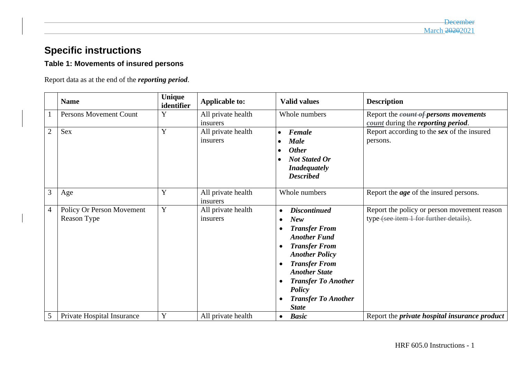# **Specific instructions**

## **Table 1: Movements of insured persons**

Report data as at the end of the *reporting period*.

|                | <b>Name</b>                              | Unique<br>identifier | <b>Applicable to:</b>          | <b>Valid values</b>                                                                                                                                                                                                                                                                                                                      | <b>Description</b>                                                                    |
|----------------|------------------------------------------|----------------------|--------------------------------|------------------------------------------------------------------------------------------------------------------------------------------------------------------------------------------------------------------------------------------------------------------------------------------------------------------------------------------|---------------------------------------------------------------------------------------|
|                | Persons Movement Count                   | Y                    | All private health<br>insurers | Whole numbers                                                                                                                                                                                                                                                                                                                            | Report the <i>count of persons movements</i><br>count during the reporting period.    |
| $\overline{2}$ | Sex                                      | Y                    | All private health<br>insurers | Female<br>$\bullet$<br><b>Male</b><br><b>Other</b><br><b>Not Stated Or</b><br><b>Inadequately</b><br><b>Described</b>                                                                                                                                                                                                                    | Report according to the sex of the insured<br>persons.                                |
| 3              | Age                                      | Y                    | All private health<br>insurers | Whole numbers                                                                                                                                                                                                                                                                                                                            | Report the <i>age</i> of the insured persons.                                         |
| $\overline{4}$ | Policy Or Person Movement<br>Reason Type | Y                    | All private health<br>insurers | <b>Discontinued</b><br>$\bullet$<br><b>New</b><br>$\bullet$<br><b>Transfer From</b><br>$\bullet$<br><b>Another Fund</b><br><b>Transfer From</b><br>$\bullet$<br><b>Another Policy</b><br><b>Transfer From</b><br><b>Another State</b><br><b>Transfer To Another</b><br>$\bullet$<br>Policy<br><b>Transfer To Another</b><br><b>State</b> | Report the policy or person movement reason<br>type (see item 1 for further details). |
| 5              | Private Hospital Insurance               | Y                    | All private health             | <b>Basic</b><br>$\bullet$                                                                                                                                                                                                                                                                                                                | Report the <i>private</i> hospital insurance product                                  |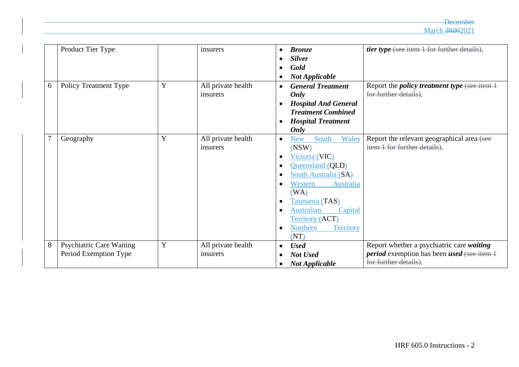**December** March 20202021

|   | Product Tier Type               |             | insurers           | $\bullet$ | <b>Bronze</b>                       | tier type (see item 1 for further details).               |
|---|---------------------------------|-------------|--------------------|-----------|-------------------------------------|-----------------------------------------------------------|
|   |                                 |             |                    |           | <b>Silver</b>                       |                                                           |
|   |                                 |             |                    |           | Gold                                |                                                           |
|   |                                 |             |                    |           | <b>Not Applicable</b>               |                                                           |
| 6 | <b>Policy Treatment Type</b>    | Y           | All private health | $\bullet$ | <b>General Treatment</b>            | Report the <i>policy treatment type</i> (see item 1       |
|   |                                 |             | insurers           |           | Only                                | for further details).                                     |
|   |                                 |             |                    |           | <b>Hospital And General</b>         |                                                           |
|   |                                 |             |                    |           | <b>Treatment Combined</b>           |                                                           |
|   |                                 |             |                    | $\bullet$ | <b>Hospital Treatment</b>           |                                                           |
|   |                                 |             |                    |           | Only                                |                                                           |
|   | Geography                       | $\mathbf Y$ | All private health | $\bullet$ | Wales<br>South<br>New               | Report the relevant geographical area-(see                |
|   |                                 |             | insurers           |           | (NSW)                               | item 1 for further details).                              |
|   |                                 |             |                    |           | Victoria (VIC)                      |                                                           |
|   |                                 |             |                    | $\bullet$ | Queensland (QLD)                    |                                                           |
|   |                                 |             |                    |           | South Australia (SA)                |                                                           |
|   |                                 |             |                    |           | Western<br>Australia                |                                                           |
|   |                                 |             |                    |           | (WA)                                |                                                           |
|   |                                 |             |                    | $\bullet$ | Tasmania (TAS)                      |                                                           |
|   |                                 |             |                    |           | <b>Australian</b><br>Capital        |                                                           |
|   |                                 |             |                    |           | <b>Territory (ACT)</b>              |                                                           |
|   |                                 |             |                    | $\bullet$ | <b>Northern</b><br><b>Territory</b> |                                                           |
|   |                                 |             |                    |           | (NT)                                |                                                           |
| 8 | <b>Psychiatric Care Waiting</b> | Y           | All private health | $\bullet$ | <b>Used</b>                         | Report whether a psychiatric care waiting                 |
|   | Period Exemption Type           |             | insurers           |           | Not Used                            | <i>period</i> exemption has been <i>used</i> (see item 1) |
|   |                                 |             |                    |           | <b>Not Applicable</b>               | for further details).                                     |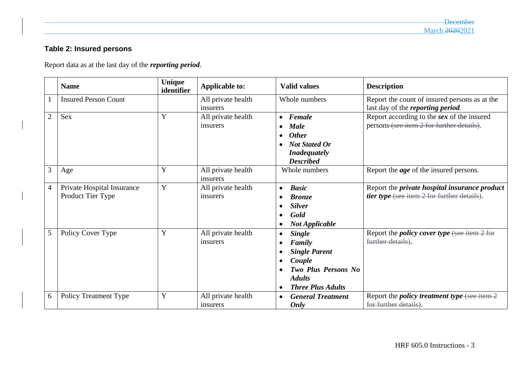# **Table 2: Insured persons**

Report data as at the last day of the *reporting period*.

|                | <b>Name</b>                                     | Unique<br>identifier | <b>Applicable to:</b>          | <b>Valid values</b>                                                                                                                                                                | <b>Description</b>                                                                                  |
|----------------|-------------------------------------------------|----------------------|--------------------------------|------------------------------------------------------------------------------------------------------------------------------------------------------------------------------------|-----------------------------------------------------------------------------------------------------|
|                | <b>Insured Person Count</b>                     |                      | All private health<br>insurers | Whole numbers                                                                                                                                                                      | Report the count of insured persons as at the<br>last day of the <i>reporting period</i> .          |
| $\overline{2}$ | Sex                                             | Y                    | All private health<br>insurers | Female<br>$\bullet$<br><b>Male</b><br>$\bullet$<br><b>Other</b><br>$\bullet$<br><b>Not Stated Or</b><br>$\bullet$<br><b>Inadequately</b><br><b>Described</b>                       | Report according to the sex of the insured<br>persons (see item 2 for further details).             |
| 3              | Age                                             | Y                    | All private health<br>insurers | Whole numbers                                                                                                                                                                      | Report the <i>age</i> of the insured persons.                                                       |
| $\overline{4}$ | Private Hospital Insurance<br>Product Tier Type | Y                    | All private health<br>insurers | <b>Basic</b><br>$\bullet$<br><b>Bronze</b><br><b>Silver</b><br>$\bullet$<br>Gold<br>$\bullet$<br><b>Not Applicable</b><br>$\bullet$                                                | Report the <i>private</i> hospital insurance product<br>tier type (see item 2 for further details). |
| 5              | Policy Cover Type                               | Y                    | All private health<br>insurers | <b>Single</b><br>$\bullet$<br>Family<br><b>Single Parent</b><br>$\bullet$<br>Couple<br>$\bullet$<br>Two Plus Persons No.<br><b>Adults</b><br><b>Three Plus Adults</b><br>$\bullet$ | Report the <i>policy cover type</i> (see item 2 for<br>further details).                            |
| 6              | <b>Policy Treatment Type</b>                    | Y                    | All private health<br>insurers | <b>General Treatment</b><br>$\bullet$<br>Only                                                                                                                                      | Report the <i>policy treatment type</i> (see item $2$<br>for further details).                      |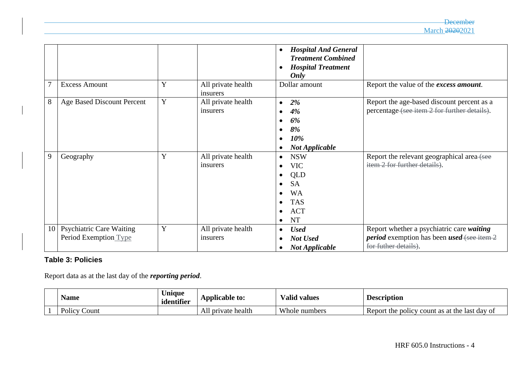|                 |                                                          |   |                                | <b>Hospital And General</b><br>$\bullet$<br><b>Treatment Combined</b><br><b>Hospital Treatment</b><br>Only |                                                                                                                                |
|-----------------|----------------------------------------------------------|---|--------------------------------|------------------------------------------------------------------------------------------------------------|--------------------------------------------------------------------------------------------------------------------------------|
|                 | <b>Excess Amount</b>                                     | Y | All private health<br>insurers | Dollar amount                                                                                              | Report the value of the excess amount.                                                                                         |
| 8               | <b>Age Based Discount Percent</b>                        | Y | All private health<br>insurers | 2%<br>$\bullet$<br>4%<br>6%<br>8%<br>10%<br><b>Not Applicable</b><br>٠                                     | Report the age-based discount percent as a<br>percentage (see item 2 for further details).                                     |
| 9               | Geography                                                | Y | All private health<br>insurers | <b>NSW</b><br><b>VIC</b><br>QLD<br><b>SA</b><br><b>WA</b><br><b>TAS</b><br><b>ACT</b><br><b>NT</b><br>٠    | Report the relevant geographical area-(see<br>item 2 for further details).                                                     |
| 10 <sup>1</sup> | <b>Psychiatric Care Waiting</b><br>Period Exemption Type | Y | All private health<br>insurers | <b>Used</b><br>٠<br><b>Not Used</b><br>$\bullet$<br><b>Not Applicable</b><br>$\bullet$                     | Report whether a psychiatric care waiting<br><i>period</i> exemption has been <i>used</i> (see item 2)<br>for futher details). |

## **Table 3: Policies**

Report data as at the last day of the *reporting period*.

| Name              | Jnique<br>identifier | Applicable to:     | √alid values<br>$\mathbf{r}$ | <b>Description</b>                                  |
|-------------------|----------------------|--------------------|------------------------------|-----------------------------------------------------|
| Policy C<br>Count |                      | All private health | Whole numbers                | Report the policy<br>or count as at the last day of |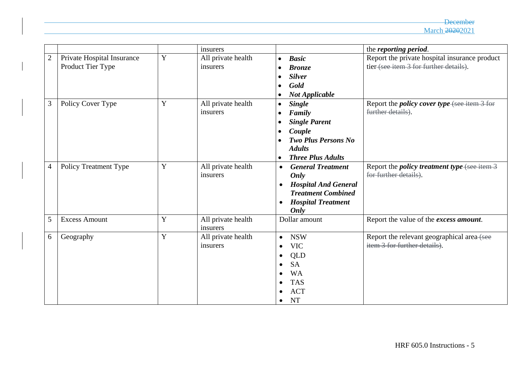|                |                            |   | insurers           |                                          | the reporting period.                               |
|----------------|----------------------------|---|--------------------|------------------------------------------|-----------------------------------------------------|
| $\overline{2}$ | Private Hospital Insurance | Y | All private health | <b>Basic</b><br>$\bullet$                | Report the private hospital insurance product       |
|                | Product Tier Type          |   | insurers           | <b>Bronze</b>                            | tier (see item 3 for further details).              |
|                |                            |   |                    | <b>Silver</b>                            |                                                     |
|                |                            |   |                    | Gold                                     |                                                     |
|                |                            |   |                    | <b>Not Applicable</b><br>$\bullet$       |                                                     |
| 3              | Policy Cover Type          | Y | All private health | <b>Single</b><br>$\bullet$               | Report the <i>policy cover type</i> (see item 3 for |
|                |                            |   | insurers           | Family                                   | further details).                                   |
|                |                            |   |                    | <b>Single Parent</b><br>$\bullet$        |                                                     |
|                |                            |   |                    | Couple                                   |                                                     |
|                |                            |   |                    | <b>Two Plus Persons No</b>               |                                                     |
|                |                            |   |                    | <b>Adults</b>                            |                                                     |
|                |                            |   |                    | <b>Three Plus Adults</b><br>$\bullet$    |                                                     |
| $\overline{4}$ | Policy Treatment Type      | Y | All private health | <b>General Treatment</b><br>$\bullet$    | Report the <i>policy treatment type</i> (see item 3 |
|                |                            |   | insurers           | Only                                     | for further details).                               |
|                |                            |   |                    | <b>Hospital And General</b><br>$\bullet$ |                                                     |
|                |                            |   |                    | <b>Treatment Combined</b>                |                                                     |
|                |                            |   |                    | <b>Hospital Treatment</b><br>$\bullet$   |                                                     |
|                |                            |   |                    | Only                                     |                                                     |
| 5              | <b>Excess Amount</b>       | Y | All private health | Dollar amount                            | Report the value of the excess amount.              |
|                |                            |   | insurers           |                                          |                                                     |
| 6              | Geography                  | Y | All private health | <b>NSW</b><br>$\bullet$                  | Report the relevant geographical area-(see          |
|                |                            |   | insurers           | <b>VIC</b>                               | item 3 for further details).                        |
|                |                            |   |                    | <b>QLD</b>                               |                                                     |
|                |                            |   |                    | <b>SA</b><br>٠                           |                                                     |
|                |                            |   |                    | <b>WA</b>                                |                                                     |
|                |                            |   |                    | <b>TAS</b>                               |                                                     |
|                |                            |   |                    | <b>ACT</b>                               |                                                     |
|                |                            |   |                    | <b>NT</b><br>$\bullet$                   |                                                     |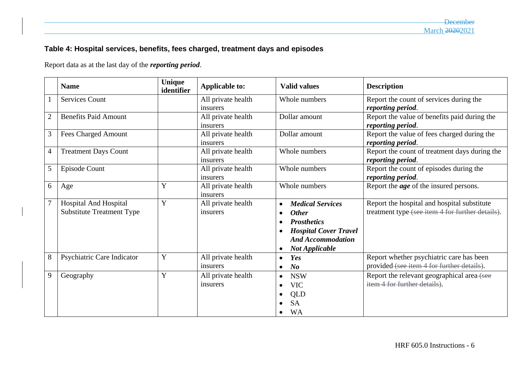# **Table 4: Hospital services, benefits, fees charged, treatment days and episodes**

Report data as at the last day of the *reporting period*.

|                | <b>Name</b>                      | Unique<br>identifier | <b>Applicable to:</b>          | <b>Valid values</b>                       | <b>Description</b>                                                 |
|----------------|----------------------------------|----------------------|--------------------------------|-------------------------------------------|--------------------------------------------------------------------|
|                | <b>Services Count</b>            |                      | All private health             | Whole numbers                             | Report the count of services during the                            |
|                |                                  |                      | insurers                       |                                           | reporting period.                                                  |
| $\overline{2}$ | <b>Benefits Paid Amount</b>      |                      | All private health<br>insurers | Dollar amount                             | Report the value of benefits paid during the<br>reporting period.  |
| 3              | <b>Fees Charged Amount</b>       |                      | All private health<br>insurers | Dollar amount                             | Report the value of fees charged during the<br>reporting period.   |
| $\overline{4}$ | <b>Treatment Days Count</b>      |                      | All private health<br>insurers | Whole numbers                             | Report the count of treatment days during the<br>reporting period. |
| 5              | Episode Count                    |                      | All private health<br>insurers | Whole numbers                             | Report the count of episodes during the<br>reporting period.       |
| 6              | Age                              | Y                    | All private health<br>insurers | Whole numbers                             | Report the <i>age</i> of the insured persons.                      |
| $\overline{7}$ | <b>Hospital And Hospital</b>     | Y                    | All private health             | <b>Medical Services</b><br>$\bullet$      | Report the hospital and hospital substitute                        |
|                | <b>Substitute Treatment Type</b> |                      | insurers                       | <b>Other</b><br>$\bullet$                 | treatment type (see item 4 for further details).                   |
|                |                                  |                      |                                | <b>Prosthetics</b><br>$\bullet$           |                                                                    |
|                |                                  |                      |                                | <b>Hospital Cover Travel</b><br>$\bullet$ |                                                                    |
|                |                                  |                      |                                | <b>And Accommodation</b>                  |                                                                    |
|                |                                  |                      |                                | <b>Not Applicable</b><br>$\bullet$        |                                                                    |
| 8              | Psychiatric Care Indicator       | Y                    | All private health             | Yes<br>$\bullet$                          | Report whether psychiatric care has been                           |
|                |                                  |                      | insurers                       | N <sub>o</sub><br>$\bullet$               | provided (see item 4 for further details).                         |
| 9              | Geography                        | Y                    | All private health             | <b>NSW</b><br>$\bullet$                   | Report the relevant geographical area (see                         |
|                |                                  |                      | insurers                       | <b>VIC</b><br>$\bullet$                   | item 4 for further details).                                       |
|                |                                  |                      |                                | QLD<br>$\bullet$                          |                                                                    |
|                |                                  |                      |                                | <b>SA</b>                                 |                                                                    |
|                |                                  |                      |                                | <b>WA</b><br>$\bullet$                    |                                                                    |